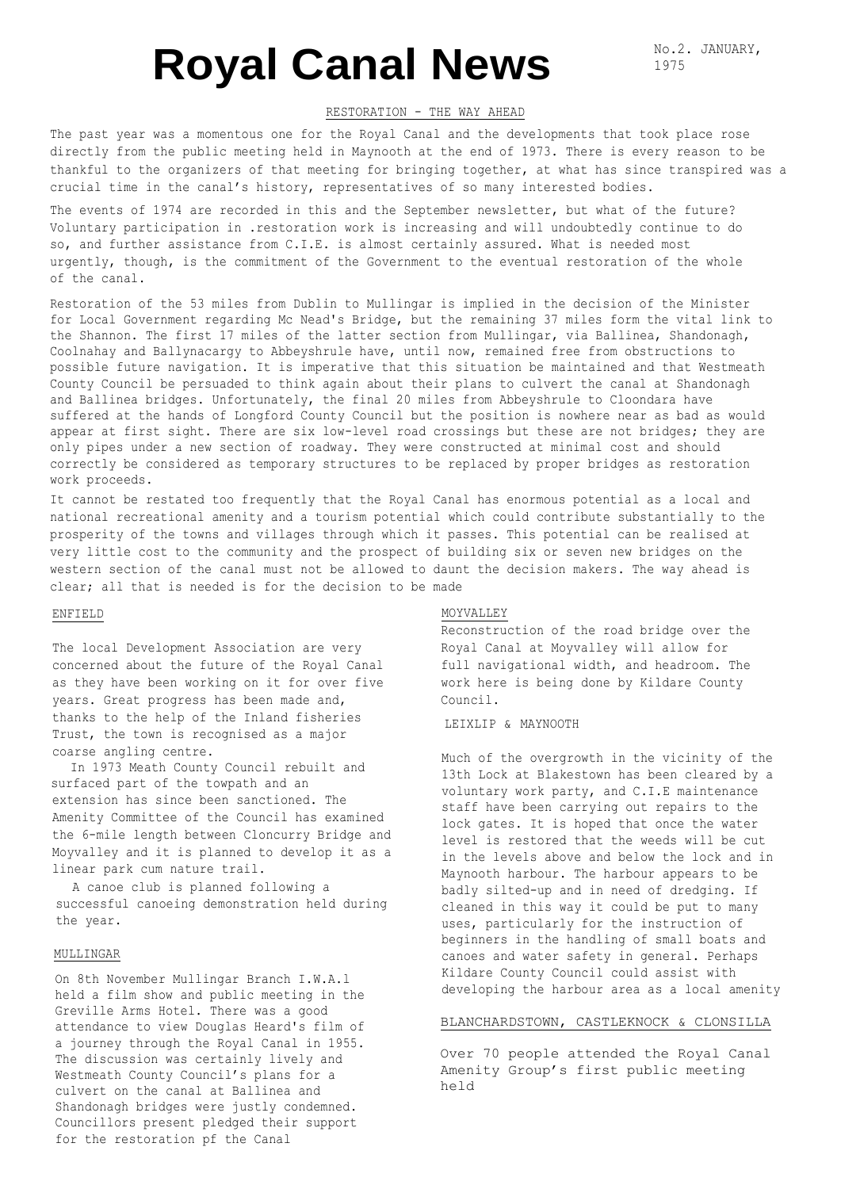# **Royal Canal News**

No.2. JANUARY, 1975

#### RESTORATION - THE WAY AHEAD

The past year was a momentous one for the Royal Canal and the developments that took place rose directly from the public meeting held in Maynooth at the end of 1973. There is every reason to be thankful to the organizers of that meeting for bringing together, at what has since transpired was a crucial time in the canal's history, representatives of so many interested bodies.

The events of 1974 are recorded in this and the September newsletter, but what of the future? Voluntary participation in .restoration work is increasing and will undoubtedly continue to do so, and further assistance from C.I.E. is almost certainly assured. What is needed most urgently, though, is the commitment of the Government to the eventual restoration of the whole of the canal.

Restoration of the 53 miles from Dublin to Mullingar is implied in the decision of the Minister for Local Government regarding Mc Nead's Bridge, but the remaining 37 miles form the vital link to the Shannon. The first 17 miles of the latter section from Mullingar, via Ballinea, Shandonagh, Coolnahay and Ballynacargy to Abbeyshrule have, until now, remained free from obstructions to possible future navigation. It is imperative that this situation be maintained and that Westmeath County Council be persuaded to think again about their plans to culvert the canal at Shandonagh and Ballinea bridges. Unfortunately, the final 20 miles from Abbeyshrule to Cloondara have suffered at the hands of Longford County Council but the position is nowhere near as bad as would appear at first sight. There are six low-level road crossings but these are not bridges; they are only pipes under a new section of roadway. They were constructed at minimal cost and should correctly be considered as temporary structures to be replaced by proper bridges as restoration work proceeds.

It cannot be restated too frequently that the Royal Canal has enormous potential as a local and national recreational amenity and a tourism potential which could contribute substantially to the prosperity of the towns and villages through which it passes. This potential can be realised at very little cost to the community and the prospect of building six or seven new bridges on the western section of the canal must not be allowed to daunt the decision makers. The way ahead is clear; all that is needed is for the decision to be made

#### ENFIELD

The local Development Association are very concerned about the future of the Royal Canal as they have been working on it for over five years. Great progress has been made and, thanks to the help of the Inland fisheries Trust, the town is recognised as a major coarse angling centre.

In 1973 Meath County Council rebuilt and surfaced part of the towpath and an extension has since been sanctioned. The Amenity Committee of the Council has examined the 6-mile length between Cloncurry Bridge and Moyvalley and it is planned to develop it as a linear park cum nature trail.

A canoe club is planned following a successful canoeing demonstration held during the year.

#### MULLINGAR

On 8th November Mullingar Branch I.W.A.l held a film show and public meeting in the Greville Arms Hotel. There was a good attendance to view Douglas Heard's film of a journey through the Royal Canal in 1955. The discussion was certainly lively and Westmeath County Council's plans for a culvert on the canal at Ballinea and Shandonagh bridges were justly condemned. Councillors present pledged their support for the restoration pf the Canal

#### MOYVALLEY

Reconstruction of the road bridge over the Royal Canal at Moyvalley will allow for full navigational width, and headroom. The work here is being done by Kildare County Council.

### LEIXLIP & MAYNOOTH

Much of the overgrowth in the vicinity of the 13th Lock at Blakestown has been cleared by a voluntary work party, and C.I.E maintenance staff have been carrying out repairs to the lock gates. It is hoped that once the water level is restored that the weeds will be cut in the levels above and below the lock and in Maynooth harbour. The harbour appears to be badly silted-up and in need of dredging. If cleaned in this way it could be put to many uses, particularly for the instruction of beginners in the handling of small boats and canoes and water safety in general. Perhaps Kildare County Council could assist with developing the harbour area as a local amenity

#### BLANCHARDSTOWN, CASTLEKNOCK & CLONSILLA

Over 70 people attended the Royal Canal Amenity Group's first public meeting held